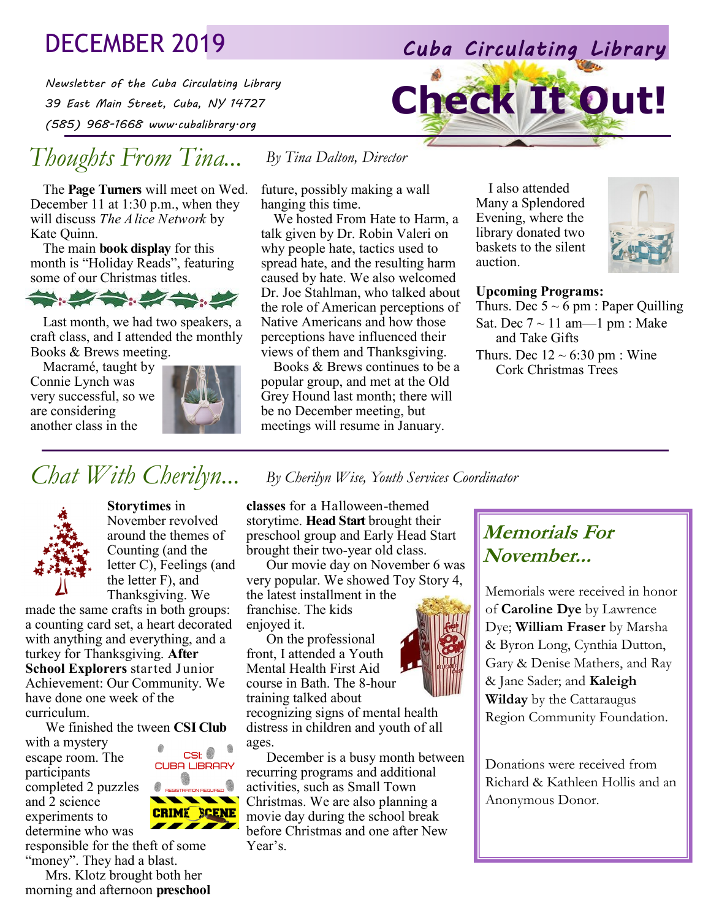# DECEMBER 2019 *Cuba Circulating Library*

*Newsletter of the Cuba Circulating Library 39 East Main Street, Cuba, NY 14727 (585) 968-1668 www.cubalibrary.org* 

# *Thoughts From Tina...*

The **Page Turners** will meet on Wed. December 11 at 1:30 p.m., when they will discuss *The Alice Network* by Kate Quinn.

The main **book display** for this month is "Holiday Reads", featuring some of our Christmas titles.



Last month, we had two speakers, a craft class, and I attended the monthly Books & Brews meeting.

Macramé, taught by Connie Lynch was very successful, so we are considering another class in the



CSI:  $\bullet$   $\bullet$ **CUBA LIBRARY** 

**CRIME SCENE** 

future, possibly making a wall hanging this time.

*By Tina Dalton, Director*

We hosted From Hate to Harm, a talk given by Dr. Robin Valeri on why people hate, tactics used to spread hate, and the resulting harm caused by hate. We also welcomed Dr. Joe Stahlman, who talked about the role of American perceptions of Native Americans and how those perceptions have influenced their views of them and Thanksgiving.

Books & Brews continues to be a popular group, and met at the Old Grey Hound last month; there will be no December meeting, but meetings will resume in January.

I also attended Many a Splendored Evening, where the library donated two baskets to the silent auction.

**Check It Out!**



#### **Upcoming Programs:**

Thurs. Dec  $5 \sim 6$  pm : Paper Quilling Sat. Dec  $7 \sim 11$  am— $1$  pm : Make and Take Gifts Thurs. Dec  $12 \sim 6:30 \text{ pm}$ : Wine Cork Christmas Trees

# *Chat With Cherilyn... By Cherilyn Wise, Youth Services Coordinator*



**Storytimes** in November revolved around the themes of Counting (and the letter C), Feelings (and the letter F), and Thanksgiving. We

made the same crafts in both groups: a counting card set, a heart decorated with anything and everything, and a turkey for Thanksgiving. **After School Explorers** started Junior Achievement: Our Community. We have done one week of the curriculum.

We finished the tween **CSI Club** 

with a mystery escape room. The participants completed 2 puzzles and 2 science experiments to determine who was

responsible for the theft of some "money". They had a blast.

Mrs. Klotz brought both her morning and afternoon **preschool**  **classes** for a Halloween-themed storytime. **Head Start** brought their preschool group and Early Head Start brought their two-year old class.

Our movie day on November 6 was very popular. We showed Toy Story 4, the latest installment in the

franchise. The kids enjoyed it.

On the professional front, I attended a Youth Mental Health First Aid course in Bath. The 8-hour training talked about recognizing signs of mental health

distress in children and youth of all ages.

December is a busy month between recurring programs and additional activities, such as Small Town Christmas. We are also planning a movie day during the school break before Christmas and one after New Year's.

### **Memorials For November...**

Memorials were received in honor of **Caroline Dye** by Lawrence Dye; **William Fraser** by Marsha & Byron Long, Cynthia Dutton, Gary & Denise Mathers, and Ray & Jane Sader; and **Kaleigh Wilday** by the Cattaraugus Region Community Foundation.

Donations were received from Richard & Kathleen Hollis and an Anonymous Donor.